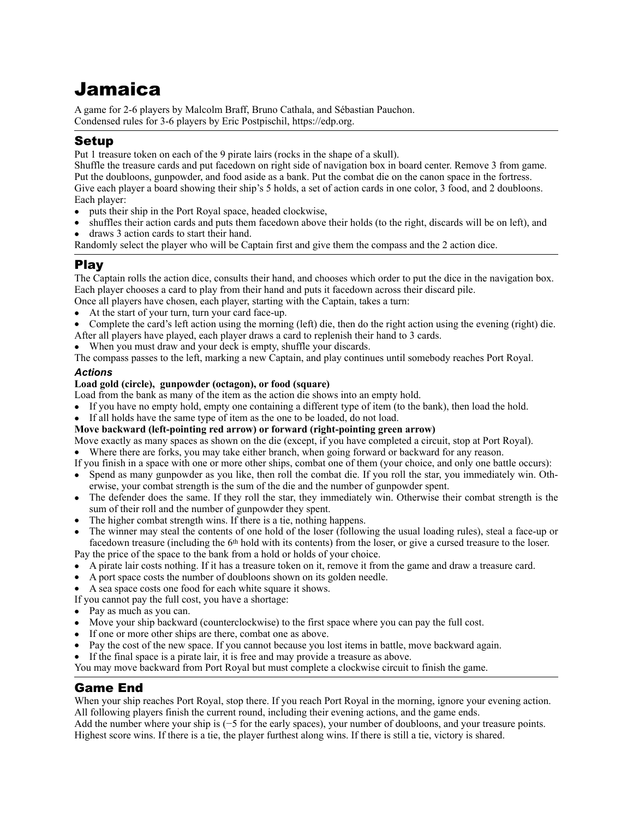# Jamaica

A game for 2-6 players by Malcolm Braff, Bruno Cathala, and Sébastian Pauchon. Condensed rules for 3-6 players by Eric Postpischil, [https://edp.org.](https://edp.org)

## Setup

Put 1 treasure token on each of the 9 pirate lairs (rocks in the shape of a skull).

Shuffle the treasure cards and put facedown on right side of navigation box in board center. Remove 3 from game. Put the doubloons, gunpowder, and food aside as a bank. Put the combat die on the canon space in the fortress. Give each player a board showing their ship's 5 holds, a set of action cards in one color, 3 food, and 2 doubloons. Each player:

- puts their ship in the Port Royal space, headed clockwise,
- shuffles their action cards and puts them facedown above their holds (to the right, discards will be on left), and
- draws 3 action cards to start their hand.

Randomly select the player who will be Captain first and give them the compass and the 2 action dice.

## Play

The Captain rolls the action dice, consults their hand, and chooses which order to put the dice in the navigation box. Each player chooses a card to play from their hand and puts it facedown across their discard pile. Once all players have chosen, each player, starting with the Captain, takes a turn:

- At the start of your turn, turn your card face-up.
- Complete the card's left action using the morning (left) die, then do the right action using the evening (right) die. After all players have played, each player draws a card to replenish their hand to 3 cards.
- When you must draw and your deck is empty, shuffle your discards.

The compass passes to the left, marking a new Captain, and play continues until somebody reaches Port Royal. *Actions* 

## **Load gold (circle), gunpowder (octagon), or food (square)**

Load from the bank as many of the item as the action die shows into an empty hold.

- If you have no empty hold, empty one containing a different type of item (to the bank), then load the hold.
- If all holds have the same type of item as the one to be loaded, do not load.

#### **Move backward (left-pointing red arrow) or forward (right-pointing green arrow)**

Move exactly as many spaces as shown on the die (except, if you have completed a circuit, stop at Port Royal).

Where there are forks, you may take either branch, when going forward or backward for any reason.

If you finish in a space with one or more other ships, combat one of them (your choice, and only one battle occurs):

- Spend as many gunpowder as you like, then roll the combat die. If you roll the star, you immediately win. Otherwise, your combat strength is the sum of the die and the number of gunpowder spent.
- The defender does the same. If they roll the star, they immediately win. Otherwise their combat strength is the sum of their roll and the number of gunpowder they spent.
- The higher combat strength wins. If there is a tie, nothing happens.
- The winner may steal the contents of one hold of the loser (following the usual loading rules), steal a face-up or facedown treasure (including the 6th hold with its contents) from the loser, or give a cursed treasure to the loser.

Pay the price of the space to the bank from a hold or holds of your choice.

- A pirate lair costs nothing. If it has a treasure token on it, remove it from the game and draw a treasure card.
- A port space costs the number of doubloons shown on its golden needle.
- A sea space costs one food for each white square it shows.

If you cannot pay the full cost, you have a shortage:

- Pay as much as you can.
- Move your ship backward (counterclockwise) to the first space where you can pay the full cost.
- If one or more other ships are there, combat one as above.
- Pay the cost of the new space. If you cannot because you lost items in battle, move backward again.
- If the final space is a pirate lair, it is free and may provide a treasure as above.

You may move backward from Port Royal but must complete a clockwise circuit to finish the game.

## Game End

When your ship reaches Port Royal, stop there. If you reach Port Royal in the morning, ignore your evening action. All following players finish the current round, including their evening actions, and the game ends.

Add the number where your ship is (−5 for the early spaces), your number of doubloons, and your treasure points. Highest score wins. If there is a tie, the player furthest along wins. If there is still a tie, victory is shared.